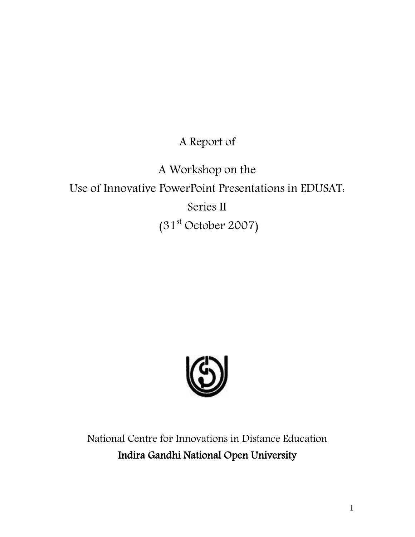A Report of

A Workshop on the Use of Innovative PowerPoint Presentations in EDUSAT: Series II  $(31<sup>st</sup> October 2007)$ 



National Centre for Innovations in Distance Education Indira Gandhi National Open University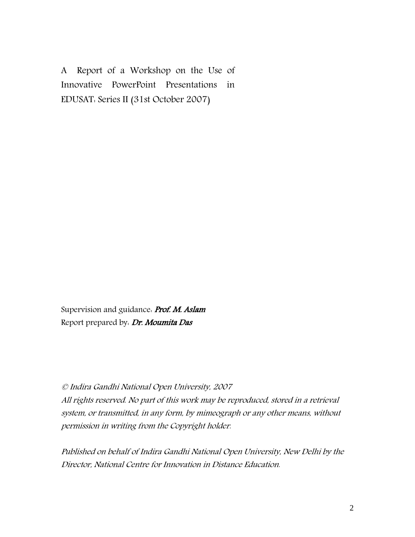A Report of a Workshop on the Use of Innovative PowerPoint Presentations in EDUSAT: Series II (31st October 2007)

Supervision and guidance. Prof. M. Aslam Report prepared by: Dr. Moumita Das

#### © Indira Gandhi National Open University, 2007

All rights reserved. No part of this work may be reproduced, stored in a retrieval system, or transmitted, in any form, by mimeograph or any other means, without permission in writing from the Copyright holder.

Published on behalf of Indira Gandhi National Open University, New Delhi by the Director, National Centre for Innovation in Distance Education.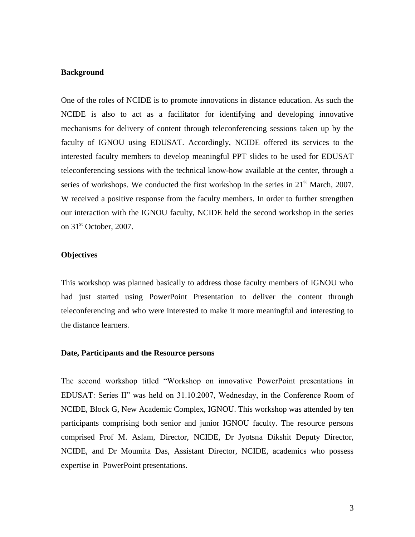#### **Background**

One of the roles of NCIDE is to promote innovations in distance education. As such the NCIDE is also to act as a facilitator for identifying and developing innovative mechanisms for delivery of content through teleconferencing sessions taken up by the faculty of IGNOU using EDUSAT. Accordingly, NCIDE offered its services to the interested faculty members to develop meaningful PPT slides to be used for EDUSAT teleconferencing sessions with the technical know-how available at the center, through a series of workshops. We conducted the first workshop in the series in  $21<sup>st</sup>$  March, 2007. W received a positive response from the faculty members. In order to further strengthen our interaction with the IGNOU faculty, NCIDE held the second workshop in the series on  $31<sup>st</sup>$  October, 2007.

#### **Objectives**

This workshop was planned basically to address those faculty members of IGNOU who had just started using PowerPoint Presentation to deliver the content through teleconferencing and who were interested to make it more meaningful and interesting to the distance learners.

#### **Date, Participants and the Resource persons**

The second workshop titled "Workshop on innovative PowerPoint presentations in EDUSAT: Series II" was held on 31.10.2007, Wednesday, in the Conference Room of NCIDE, Block G, New Academic Complex, IGNOU. This workshop was attended by ten participants comprising both senior and junior IGNOU faculty. The resource persons comprised Prof M. Aslam, Director, NCIDE, Dr Jyotsna Dikshit Deputy Director, NCIDE, and Dr Moumita Das, Assistant Director, NCIDE, academics who possess expertise in PowerPoint presentations.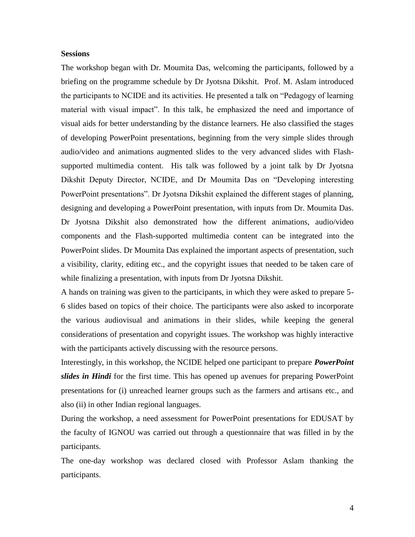#### **Sessions**

The workshop began with Dr. Moumita Das, welcoming the participants, followed by a briefing on the programme schedule by Dr Jyotsna Dikshit. Prof. M. Aslam introduced the participants to NCIDE and its activities. He presented a talk on "Pedagogy of learning material with visual impact". In this talk, he emphasized the need and importance of visual aids for better understanding by the distance learners. He also classified the stages of developing PowerPoint presentations, beginning from the very simple slides through audio/video and animations augmented slides to the very advanced slides with Flashsupported multimedia content. His talk was followed by a joint talk by Dr Jyotsna Dikshit Deputy Director, NCIDE, and Dr Moumita Das on "Developing interesting PowerPoint presentations". Dr Jyotsna Dikshit explained the different stages of planning, designing and developing a PowerPoint presentation, with inputs from Dr. Moumita Das. Dr Jyotsna Dikshit also demonstrated how the different animations, audio/video components and the Flash-supported multimedia content can be integrated into the PowerPoint slides. Dr Moumita Das explained the important aspects of presentation, such a visibility, clarity, editing etc., and the copyright issues that needed to be taken care of while finalizing a presentation, with inputs from Dr Jyotsna Dikshit.

A hands on training was given to the participants, in which they were asked to prepare 5- 6 slides based on topics of their choice. The participants were also asked to incorporate the various audiovisual and animations in their slides, while keeping the general considerations of presentation and copyright issues. The workshop was highly interactive with the participants actively discussing with the resource persons.

Interestingly, in this workshop, the NCIDE helped one participant to prepare *PowerPoint slides in Hindi* for the first time. This has opened up avenues for preparing PowerPoint presentations for (i) unreached learner groups such as the farmers and artisans etc., and also (ii) in other Indian regional languages.

During the workshop, a need assessment for PowerPoint presentations for EDUSAT by the faculty of IGNOU was carried out through a questionnaire that was filled in by the participants.

The one-day workshop was declared closed with Professor Aslam thanking the participants.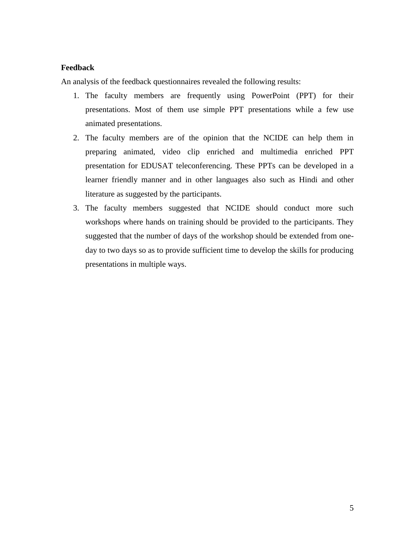#### **Feedback**

An analysis of the feedback questionnaires revealed the following results:

- 1. The faculty members are frequently using PowerPoint (PPT) for their presentations. Most of them use simple PPT presentations while a few use animated presentations.
- 2. The faculty members are of the opinion that the NCIDE can help them in preparing animated, video clip enriched and multimedia enriched PPT presentation for EDUSAT teleconferencing. These PPTs can be developed in a learner friendly manner and in other languages also such as Hindi and other literature as suggested by the participants.
- 3. The faculty members suggested that NCIDE should conduct more such workshops where hands on training should be provided to the participants. They suggested that the number of days of the workshop should be extended from oneday to two days so as to provide sufficient time to develop the skills for producing presentations in multiple ways.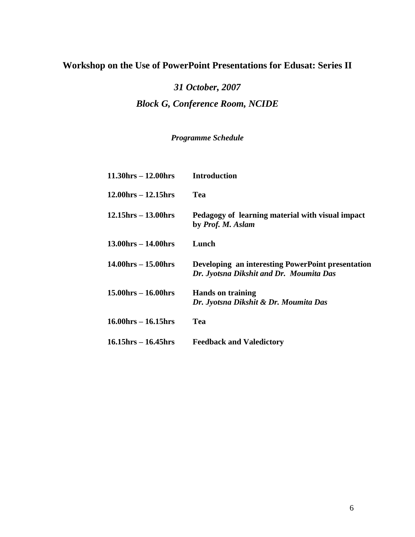## **Workshop on the Use of PowerPoint Presentations for Edusat: Series II**

# *31 October, 2007 Block G, Conference Room, NCIDE*

### *Programme Schedule*

| $11.30 \text{hrs} - 12.00 \text{hrs}$ | <b>Introduction</b>                                                                          |
|---------------------------------------|----------------------------------------------------------------------------------------------|
| $12.00$ hrs $- 12.15$ hrs             | Tea                                                                                          |
| $12.15$ hrs $- 13.00$ hrs             | Pedagogy of learning material with visual impact<br>by <i>Prof. M. Aslam</i>                 |
| $13.00$ hrs $- 14.00$ hrs             | Lunch                                                                                        |
| $14.00 \text{hrs} - 15.00 \text{hrs}$ | Developing an interesting PowerPoint presentation<br>Dr. Jyotsna Dikshit and Dr. Moumita Das |
| $15.00$ hrs $- 16.00$ hrs             | <b>Hands on training</b><br>Dr. Jyotsna Dikshit & Dr. Moumita Das                            |
| $16.00$ hrs $- 16.15$ hrs             | Tea                                                                                          |
| $16.15$ hrs $- 16.45$ hrs             | <b>Feedback and Valedictory</b>                                                              |